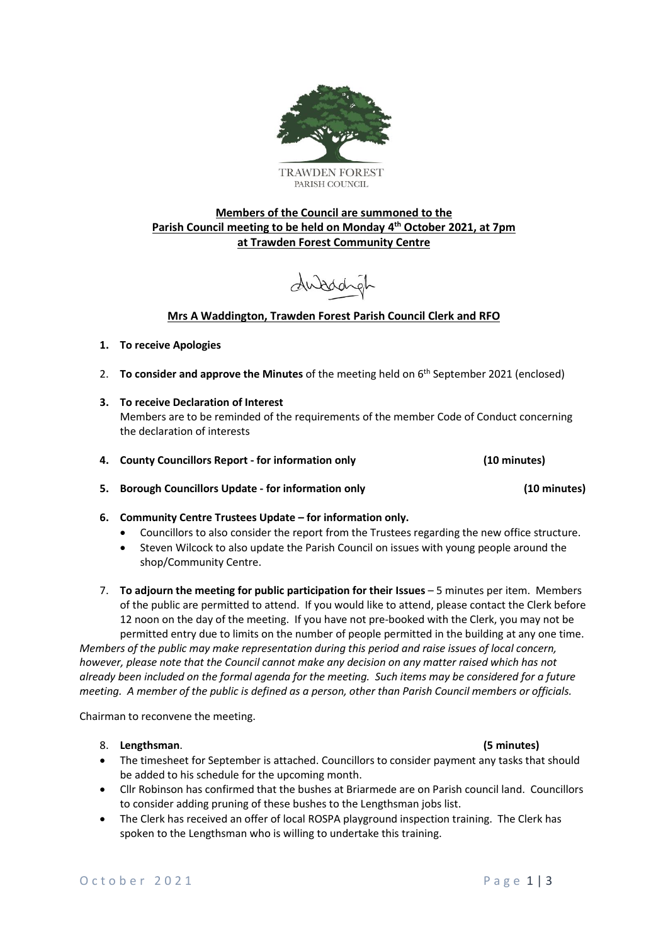

# **Members of the Council are summoned to the Parish Council meeting to be held on Monday 4 th October 2021, at 7pm at Trawden Forest Community Centre**

dubody

# **Mrs A Waddington, Trawden Forest Parish Council Clerk and RFO**

# **1. To receive Apologies**

- 2. **To consider and approve the Minutes** of the meeting held on 6 th September 2021 (enclosed)
- **3. To receive Declaration of Interest**  Members are to be reminded of the requirements of the member Code of Conduct concerning the declaration of interests
- **4. County Councillors Report - for information only (10 minutes)**
- **5. Borough Councillors Update - for information only (10 minutes)**
- **6. Community Centre Trustees Update – for information only.** 
	- Councillors to also consider the report from the Trustees regarding the new office structure.
	- Steven Wilcock to also update the Parish Council on issues with young people around the shop/Community Centre.
- 7. **To adjourn the meeting for public participation for their Issues** 5 minutes per item. Members of the public are permitted to attend. If you would like to attend, please contact the Clerk before 12 noon on the day of the meeting. If you have not pre-booked with the Clerk, you may not be permitted entry due to limits on the number of people permitted in the building at any one time.

*Members of the public may make representation during this period and raise issues of local concern, however, please note that the Council cannot make any decision on any matter raised which has not already been included on the formal agenda for the meeting. Such items may be considered for a future meeting. A member of the public is defined as a person, other than Parish Council members or officials.*

Chairman to reconvene the meeting.

### 8. **Lengthsman**. **(5 minutes)**

- The timesheet for September is attached. Councillors to consider payment any tasks that should be added to his schedule for the upcoming month.
- Cllr Robinson has confirmed that the bushes at Briarmede are on Parish council land. Councillors to consider adding pruning of these bushes to the Lengthsman jobs list.
- The Clerk has received an offer of local ROSPA playground inspection training. The Clerk has spoken to the Lengthsman who is willing to undertake this training.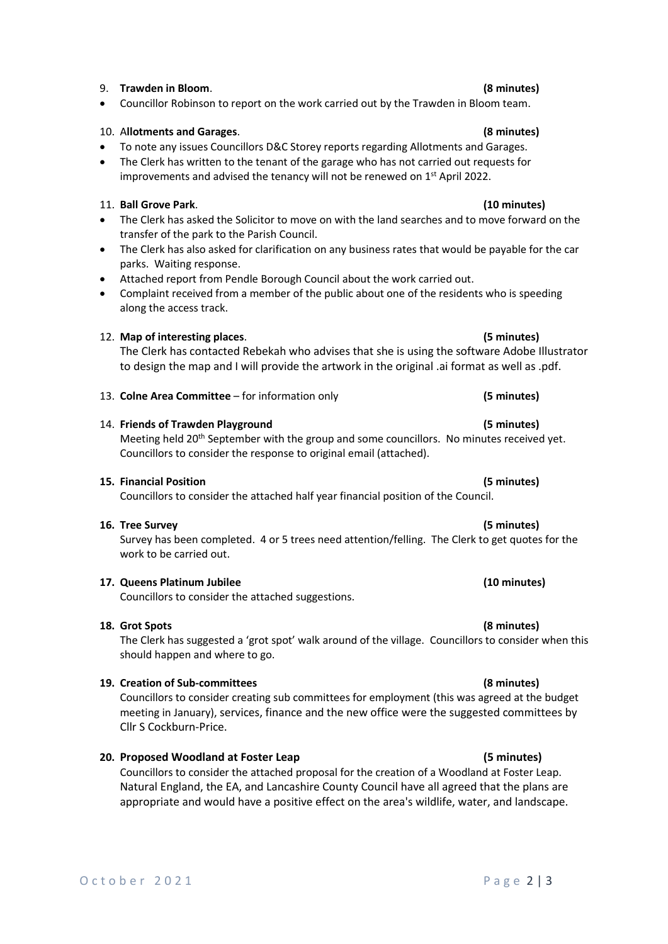### 9. **Trawden in Bloom**. **(8 minutes)**

• Councillor Robinson to report on the work carried out by the Trawden in Bloom team.

# 10. A**llotments and Garages**. **(8 minutes)**

- To note any issues Councillors D&C Storey reports regarding Allotments and Garages.
- The Clerk has written to the tenant of the garage who has not carried out requests for improvements and advised the tenancy will not be renewed on 1<sup>st</sup> April 2022.

# 11. **Ball Grove Park**. **(10 minutes)**

- The Clerk has asked the Solicitor to move on with the land searches and to move forward on the transfer of the park to the Parish Council.
- The Clerk has also asked for clarification on any business rates that would be payable for the car parks. Waiting response.
- Attached report from Pendle Borough Council about the work carried out.
- Complaint received from a member of the public about one of the residents who is speeding along the access track.

# 12. **Map of interesting places**. **(5 minutes)**

The Clerk has contacted Rebekah who advises that she is using the software Adobe Illustrator to design the map and I will provide the artwork in the original .ai format as well as .pdf.

### 13. **Colne Area Committee** – for information only **(5 minutes)**

### 14. **Friends of Trawden Playground (5 minutes)**

Meeting held 20<sup>th</sup> September with the group and some councillors. No minutes received yet. Councillors to consider the response to original email (attached).

### **15. Financial Position (5 minutes)**

Councillors to consider the attached half year financial position of the Council.

### **16. Tree Survey (5 minutes)**

Survey has been completed. 4 or 5 trees need attention/felling. The Clerk to get quotes for the work to be carried out.

### **17. Queens Platinum Jubilee (10 minutes)**

Councillors to consider the attached suggestions.

### **18. Grot Spots (8 minutes)**

The Clerk has suggested a 'grot spot' walk around of the village. Councillors to consider when this should happen and where to go.

### **19. Creation of Sub-committees (8 minutes)**

Councillors to consider creating sub committees for employment (this was agreed at the budget meeting in January), services, finance and the new office were the suggested committees by Cllr S Cockburn-Price.

### **20. Proposed Woodland at Foster Leap (5 minutes)**

Councillors to consider the attached proposal for the creation of a Woodland at Foster Leap. Natural England, the EA, and Lancashire County Council have all agreed that the plans are appropriate and would have a positive effect on the area's wildlife, water, and landscape.